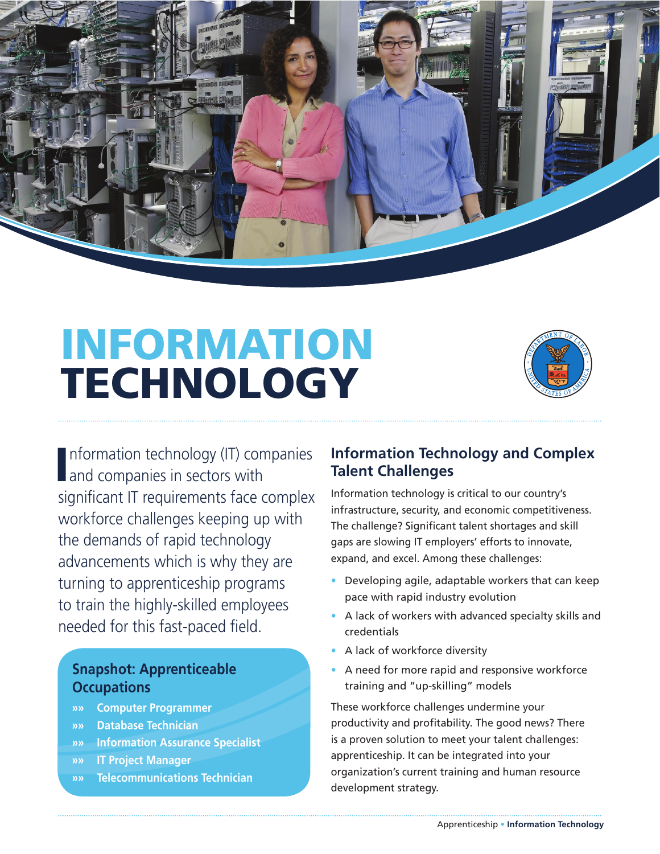

# INFORMATION **TECHNOLOGY**



Information technology (IT) com<br>
and companies in sectors with nformation technology (IT) companies significant IT requirements face complex workforce challenges keeping up with the demands of rapid technology advancements which is why they are turning to apprenticeship programs to train the highly-skilled employees needed for this fast-paced field.

# **Snapshot: Apprenticeable Occupations**

- **»» Computer Programmer**
- **»» Database Technician**
- **»» Information Assurance Specialist**
- **»» IT Project Manager**

»

**»» Telecommunications Technician** 

# **Information Technology and Complex Talent Challenges**

Information technology is critical to our country's infrastructure, security, and economic competitiveness. The challenge? Significant talent shortages and skill gaps are slowing IT employers' efforts to innovate, expand, and excel. Among these challenges:

- Developing agile, adaptable workers that can keep pace with rapid industry evolution
- A lack of workers with advanced specialty skills and credentials
- A lack of workforce diversity
- A need for more rapid and responsive workforce training and "up-skilling" models

These workforce challenges undermine your productivity and profitability. The good news? There is a proven solution to meet your talent challenges: apprenticeship. It can be integrated into your organization's current training and human resource development strategy.